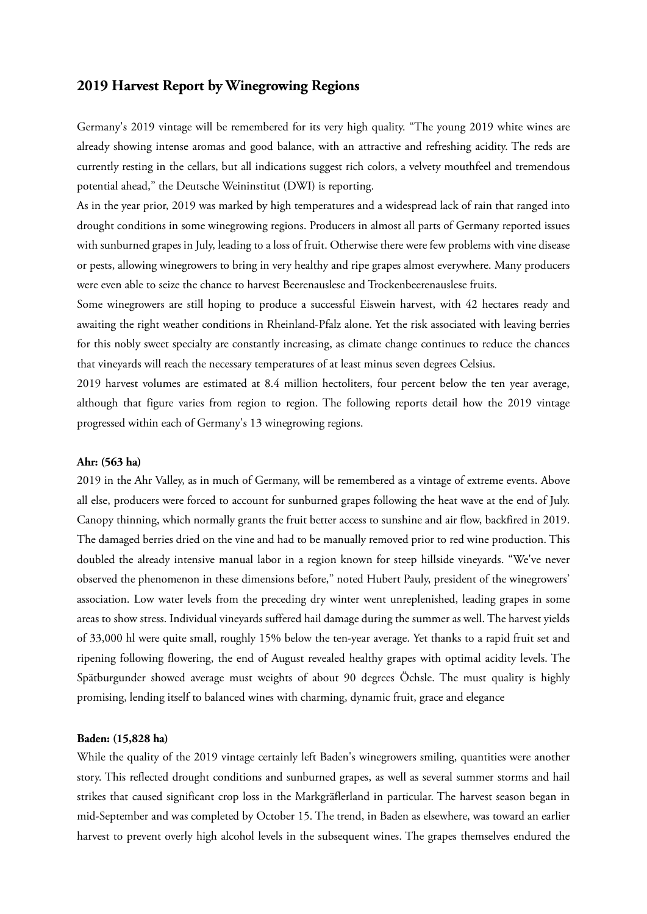# **2019 Harvest Report by Winegrowing Regions**

Germany's 2019 vintage will be remembered for its very high quality. "The young 2019 white wines are already showing intense aromas and good balance, with an attractive and refreshing acidity. The reds are currently resting in the cellars, but all indications suggest rich colors, a velvety mouthfeel and tremendous potential ahead," the Deutsche Weininstitut (DWI) is reporting.

As in the year prior, 2019 was marked by high temperatures and a widespread lack of rain that ranged into drought conditions in some winegrowing regions. Producers in almost all parts of Germany reported issues with sunburned grapes in July, leading to a loss of fruit. Otherwise there were few problems with vine disease or pests, allowing winegrowers to bring in very healthy and ripe grapes almost everywhere. Many producers were even able to seize the chance to harvest Beerenauslese and Trockenbeerenauslese fruits.

Some winegrowers are still hoping to produce a successful Eiswein harvest, with 42 hectares ready and awaiting the right weather conditions in Rheinland-Pfalz alone. Yet the risk associated with leaving berries for this nobly sweet specialty are constantly increasing, as climate change continues to reduce the chances that vineyards will reach the necessary temperatures of at least minus seven degrees Celsius.

2019 harvest volumes are estimated at 8.4 million hectoliters, four percent below the ten year average, although that figure varies from region to region. The following reports detail how the 2019 vintage progressed within each of Germany's 13 winegrowing regions.

# **Ahr: (563 ha)**

2019 in the Ahr Valley, as in much of Germany, will be remembered as a vintage of extreme events. Above all else, producers were forced to account for sunburned grapes following the heat wave at the end of July. Canopy thinning, which normally grants the fruit better access to sunshine and air flow, backfired in 2019. The damaged berries dried on the vine and had to be manually removed prior to red wine production. This doubled the already intensive manual labor in a region known for steep hillside vineyards. "We've never observed the phenomenon in these dimensions before," noted Hubert Pauly, president of the winegrowers' association. Low water levels from the preceding dry winter went unreplenished, leading grapes in some areas to show stress. Individual vineyards suffered hail damage during the summer as well. The harvest yields of 33,000 hl were quite small, roughly 15% below the ten-year average. Yet thanks to a rapid fruit set and ripening following flowering, the end of August revealed healthy grapes with optimal acidity levels. The Spätburgunder showed average must weights of about 90 degrees Öchsle. The must quality is highly promising, lending itself to balanced wines with charming, dynamic fruit, grace and elegance

## **Baden: (15,828 ha)**

While the quality of the 2019 vintage certainly left Baden's winegrowers smiling, quantities were another story. This reflected drought conditions and sunburned grapes, as well as several summer storms and hail strikes that caused significant crop loss in the Markgräflerland in particular. The harvest season began in mid-September and was completed by October 15. The trend, in Baden as elsewhere, was toward an earlier harvest to prevent overly high alcohol levels in the subsequent wines. The grapes themselves endured the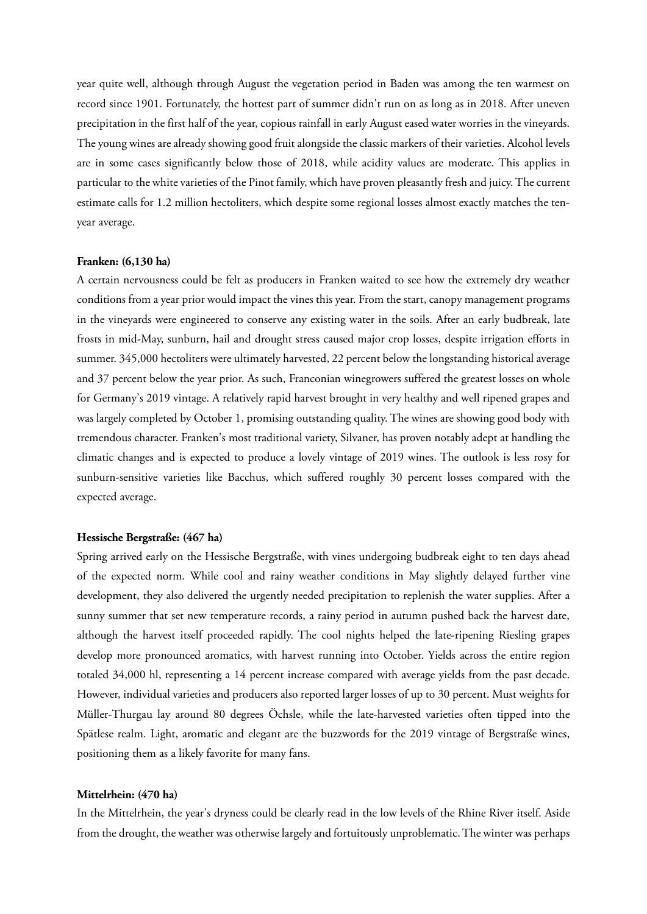year quite well, although through August the vegetation period in Baden was among the ten warmest on record since 1901. Fortunately, the hottest part of summer didn't run on as long as in 2018. After uneven precipitation in the first half of the year, copious rainfall in early August eased water worries in the vineyards. The young wines are already showing good fruit alongside the classic markers of their varieties. Alcohol levels are in some cases significantly below those of 2018, while acidity values are moderate. This applies in particular to the white varieties of the Pinot family, which have proven pleasantly fresh and juicy. The current estimate calls for 1.2 million hectoliters, which despite some regional losses almost exactly matches the tenyear average.

#### **Franken: (6,130 ha)**

A certain nervousness could be felt as producers in Franken waited to see how the extremely dry weather conditions from a year prior would impact the vines this year. From the start, canopy management programs in the vineyards were engineered to conserve any existing water in the soils. After an early budbreak, late frosts in mid-May, sunburn, hail and drought stress caused major crop losses, despite irrigation efforts in summer. 345,000 hectoliters were ultimately harvested, 22 percent below the longstanding historical average and 37 percent below the year prior. As such, Franconian winegrowers suffered the greatest losses on whole for Germany's 2019 vintage. A relatively rapid harvest brought in very healthy and well ripened grapes and was largely completed by October 1, promising outstanding quality. The wines are showing good body with tremendous character. Franken's most traditional variety, Silvaner, has proven notably adept at handling the climatic changes and is expected to produce a lovely vintage of 2019 wines. The outlook is less rosy for sunburn-sensitive varieties like Bacchus, which suffered roughly 30 percent losses compared with the expected average.

#### **Hessische Bergstraße: (467 ha)**

Spring arrived early on the Hessische Bergstraße, with vines undergoing budbreak eight to ten days ahead of the expected norm. While cool and rainy weather conditions in May slightly delayed further vine development, they also delivered the urgently needed precipitation to replenish the water supplies. After a sunny summer that set new temperature records, a rainy period in autumn pushed back the harvest date, although the harvest itself proceeded rapidly. The cool nights helped the late-ripening Riesling grapes develop more pronounced aromatics, with harvest running into October. Yields across the entire region totaled 34,000 hl, representing a 14 percent increase compared with average yields from the past decade. However, individual varieties and producers also reported larger losses of up to 30 percent. Must weights for Müller-Thurgau lay around 80 degrees Öchsle, while the late-harvested varieties often tipped into the Spätlese realm. Light, aromatic and elegant are the buzzwords for the 2019 vintage of Bergstraße wines, positioning them as a likely favorite for many fans.

#### **Mittelrhein: (470 ha)**

In the Mittelrhein, the year's dryness could be clearly read in the low levels of the Rhine River itself. Aside from the drought, the weather was otherwise largely and fortuitously unproblematic. The winter was perhaps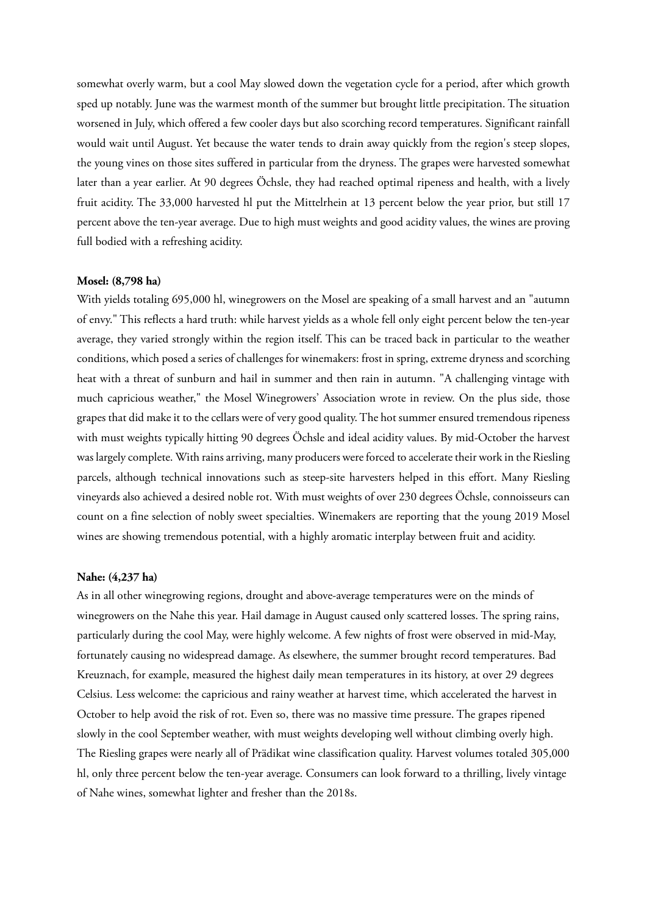somewhat overly warm, but a cool May slowed down the vegetation cycle for a period, after which growth sped up notably. June was the warmest month of the summer but brought little precipitation. The situation worsened in July, which offered a few cooler days but also scorching record temperatures. Significant rainfall would wait until August. Yet because the water tends to drain away quickly from the region's steep slopes, the young vines on those sites suffered in particular from the dryness. The grapes were harvested somewhat later than a year earlier. At 90 degrees Öchsle, they had reached optimal ripeness and health, with a lively fruit acidity. The 33,000 harvested hl put the Mittelrhein at 13 percent below the year prior, but still 17 percent above the ten-year average. Due to high must weights and good acidity values, the wines are proving full bodied with a refreshing acidity.

## **Mosel: (8,798 ha)**

With yields totaling 695,000 hl, winegrowers on the Mosel are speaking of a small harvest and an "autumn of envy." This reflects a hard truth: while harvest yields as a whole fell only eight percent below the ten-year average, they varied strongly within the region itself. This can be traced back in particular to the weather conditions, which posed a series of challenges for winemakers: frost in spring, extreme dryness and scorching heat with a threat of sunburn and hail in summer and then rain in autumn. "A challenging vintage with much capricious weather," the Mosel Winegrowers' Association wrote in review. On the plus side, those grapes that did make it to the cellars were of very good quality. The hot summer ensured tremendous ripeness with must weights typically hitting 90 degrees Öchsle and ideal acidity values. By mid-October the harvest was largely complete. With rains arriving, many producers were forced to accelerate their work in the Riesling parcels, although technical innovations such as steep-site harvesters helped in this effort. Many Riesling vineyards also achieved a desired noble rot. With must weights of over 230 degrees Öchsle, connoisseurs can count on a fine selection of nobly sweet specialties. Winemakers are reporting that the young 2019 Mosel wines are showing tremendous potential, with a highly aromatic interplay between fruit and acidity.

# **Nahe: (4,237 ha)**

As in all other winegrowing regions, drought and above-average temperatures were on the minds of winegrowers on the Nahe this year. Hail damage in August caused only scattered losses. The spring rains, particularly during the cool May, were highly welcome. A few nights of frost were observed in mid-May, fortunately causing no widespread damage. As elsewhere, the summer brought record temperatures. Bad Kreuznach, for example, measured the highest daily mean temperatures in its history, at over 29 degrees Celsius. Less welcome: the capricious and rainy weather at harvest time, which accelerated the harvest in October to help avoid the risk of rot. Even so, there was no massive time pressure. The grapes ripened slowly in the cool September weather, with must weights developing well without climbing overly high. The Riesling grapes were nearly all of Prädikat wine classification quality. Harvest volumes totaled 305,000 hl, only three percent below the ten-year average. Consumers can look forward to a thrilling, lively vintage of Nahe wines, somewhat lighter and fresher than the 2018s.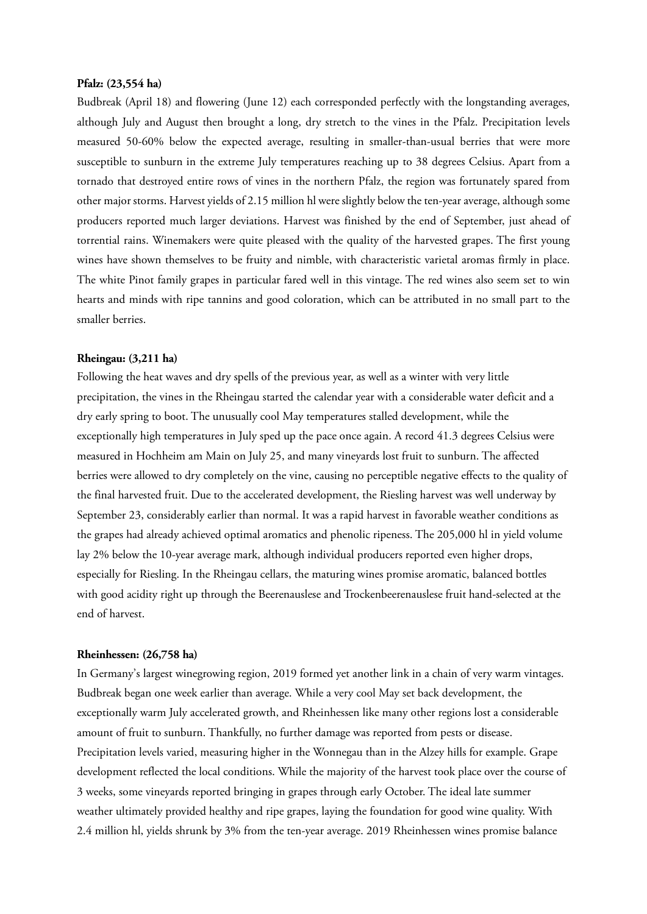## **Pfalz: (23,554 ha)**

Budbreak (April 18) and flowering (June 12) each corresponded perfectly with the longstanding averages, although July and August then brought a long, dry stretch to the vines in the Pfalz. Precipitation levels measured 50-60% below the expected average, resulting in smaller-than-usual berries that were more susceptible to sunburn in the extreme July temperatures reaching up to 38 degrees Celsius. Apart from a tornado that destroyed entire rows of vines in the northern Pfalz, the region was fortunately spared from other major storms. Harvest yields of 2.15 million hl were slightly below the ten-year average, although some producers reported much larger deviations. Harvest was finished by the end of September, just ahead of torrential rains. Winemakers were quite pleased with the quality of the harvested grapes. The first young wines have shown themselves to be fruity and nimble, with characteristic varietal aromas firmly in place. The white Pinot family grapes in particular fared well in this vintage. The red wines also seem set to win hearts and minds with ripe tannins and good coloration, which can be attributed in no small part to the smaller berries.

#### **Rheingau: (3,211 ha)**

Following the heat waves and dry spells of the previous year, as well as a winter with very little precipitation, the vines in the Rheingau started the calendar year with a considerable water deficit and a dry early spring to boot. The unusually cool May temperatures stalled development, while the exceptionally high temperatures in July sped up the pace once again. A record 41.3 degrees Celsius were measured in Hochheim am Main on July 25, and many vineyards lost fruit to sunburn. The affected berries were allowed to dry completely on the vine, causing no perceptible negative effects to the quality of the final harvested fruit. Due to the accelerated development, the Riesling harvest was well underway by September 23, considerably earlier than normal. It was a rapid harvest in favorable weather conditions as the grapes had already achieved optimal aromatics and phenolic ripeness. The 205,000 hl in yield volume lay 2% below the 10-year average mark, although individual producers reported even higher drops, especially for Riesling. In the Rheingau cellars, the maturing wines promise aromatic, balanced bottles with good acidity right up through the Beerenauslese and Trockenbeerenauslese fruit hand-selected at the end of harvest.

#### **Rheinhessen: (26,758 ha)**

In Germany's largest winegrowing region, 2019 formed yet another link in a chain of very warm vintages. Budbreak began one week earlier than average. While a very cool May set back development, the exceptionally warm July accelerated growth, and Rheinhessen like many other regions lost a considerable amount of fruit to sunburn. Thankfully, no further damage was reported from pests or disease. Precipitation levels varied, measuring higher in the Wonnegau than in the Alzey hills for example. Grape development reflected the local conditions. While the majority of the harvest took place over the course of 3 weeks, some vineyards reported bringing in grapes through early October. The ideal late summer weather ultimately provided healthy and ripe grapes, laying the foundation for good wine quality. With 2.4 million hl, yields shrunk by 3% from the ten-year average. 2019 Rheinhessen wines promise balance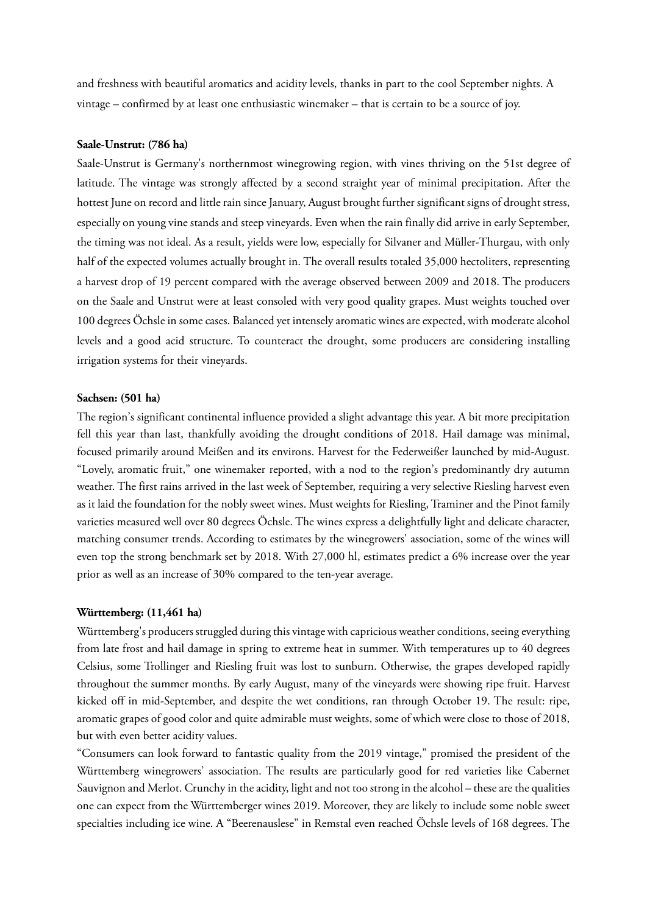and freshness with beautiful aromatics and acidity levels, thanks in part to the cool September nights. A vintage – confirmed by at least one enthusiastic winemaker – that is certain to be a source of joy.

## **Saale-Unstrut: (786 ha)**

Saale-Unstrut is Germany's northernmost winegrowing region, with vines thriving on the 51st degree of latitude. The vintage was strongly affected by a second straight year of minimal precipitation. After the hottest June on record and little rain since January, August brought further significant signs of drought stress, especially on young vine stands and steep vineyards. Even when the rain finally did arrive in early September, the timing was not ideal. As a result, yields were low, especially for Silvaner and Müller-Thurgau, with only half of the expected volumes actually brought in. The overall results totaled 35,000 hectoliters, representing a harvest drop of 19 percent compared with the average observed between 2009 and 2018. The producers on the Saale and Unstrut were at least consoled with very good quality grapes. Must weights touched over 100 degrees Öchsle in some cases. Balanced yet intensely aromatic wines are expected, with moderate alcohol levels and a good acid structure. To counteract the drought, some producers are considering installing irrigation systems for their vineyards.

# **Sachsen: (501 ha)**

The region's significant continental influence provided a slight advantage this year. A bit more precipitation fell this year than last, thankfully avoiding the drought conditions of 2018. Hail damage was minimal, focused primarily around Meißen and its environs. Harvest for the Federweißer launched by mid-August. "Lovely, aromatic fruit," one winemaker reported, with a nod to the region's predominantly dry autumn weather. The first rains arrived in the last week of September, requiring a very selective Riesling harvest even as it laid the foundation for the nobly sweet wines. Must weights for Riesling, Traminer and the Pinot family varieties measured well over 80 degrees Öchsle. The wines express a delightfully light and delicate character, matching consumer trends. According to estimates by the winegrowers' association, some of the wines will even top the strong benchmark set by 2018. With 27,000 hl, estimates predict a 6% increase over the year prior as well as an increase of 30% compared to the ten-year average.

# **Württemberg: (11,461 ha)**

Württemberg's producers struggled during this vintage with capricious weather conditions, seeing everything from late frost and hail damage in spring to extreme heat in summer. With temperatures up to 40 degrees Celsius, some Trollinger and Riesling fruit was lost to sunburn. Otherwise, the grapes developed rapidly throughout the summer months. By early August, many of the vineyards were showing ripe fruit. Harvest kicked off in mid-September, and despite the wet conditions, ran through October 19. The result: ripe, aromatic grapes of good color and quite admirable must weights, some of which were close to those of 2018, but with even better acidity values.

"Consumers can look forward to fantastic quality from the 2019 vintage," promised the president of the Württemberg winegrowers' association. The results are particularly good for red varieties like Cabernet Sauvignon and Merlot. Crunchy in the acidity, light and not too strong in the alcohol – these are the qualities one can expect from the Württemberger wines 2019. Moreover, they are likely to include some noble sweet specialties including ice wine. A "Beerenauslese" in Remstal even reached Öchsle levels of 168 degrees. The